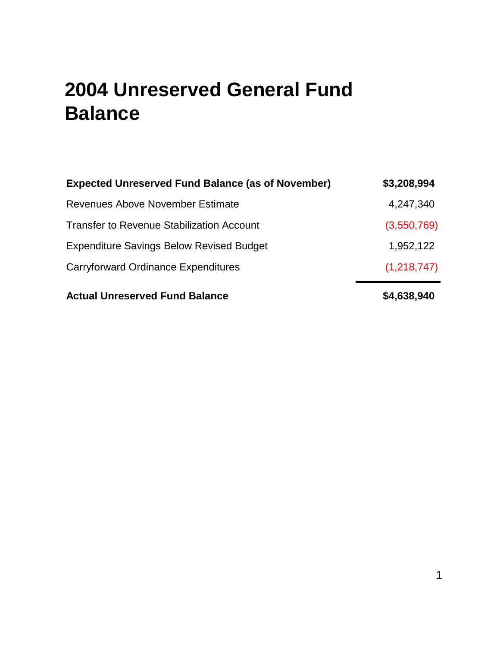#### **2004 Unreserved General Fund Balance**

| <b>Expected Unreserved Fund Balance (as of November)</b> | \$3,208,994 |
|----------------------------------------------------------|-------------|
| Revenues Above November Estimate                         | 4,247,340   |
| <b>Transfer to Revenue Stabilization Account</b>         | (3,550,769) |
| <b>Expenditure Savings Below Revised Budget</b>          | 1,952,122   |
| Carryforward Ordinance Expenditures                      | (1,218,747) |
| <b>Actual Unreserved Fund Balance</b>                    | \$4,638,940 |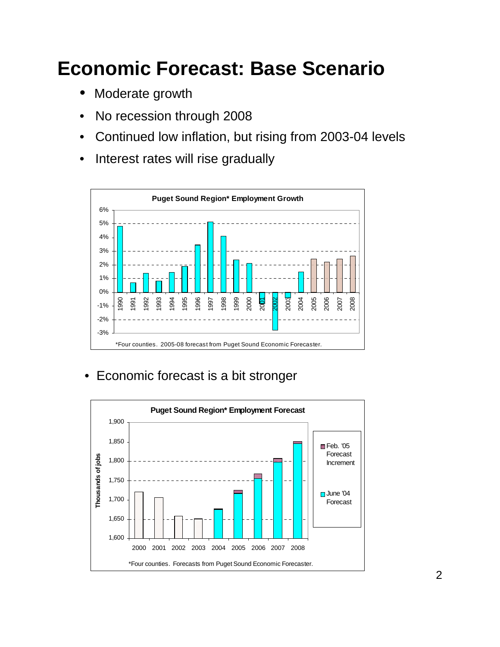# **Economic Forecast: Base Scenario**

- Moderate growth
- No recession through 2008
- Continued low inflation, but rising from 2003-04 levels
- Interest rates will rise gradually



• Economic forecast is a bit stronger

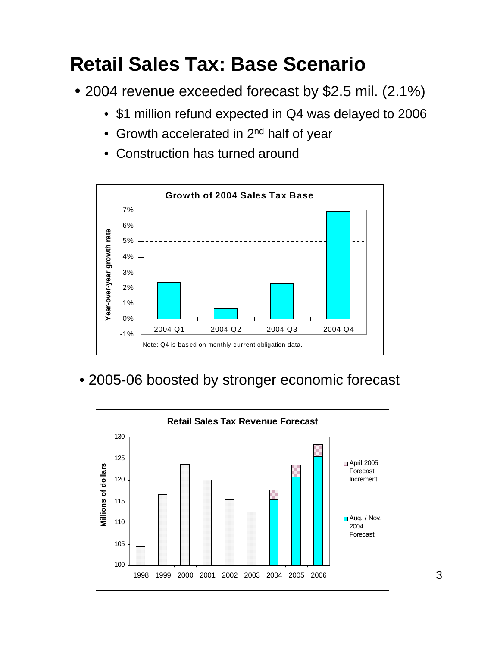# **Retail Sales Tax: Base Scenario**

- 2004 revenue exceeded forecast by \$2.5 mil. (2.1%)
	- \$1 million refund expected in Q4 was delayed to 2006
	- Growth accelerated in 2<sup>nd</sup> half of year
	- Construction has turned around



• 2005-06 boosted by stronger economic forecast

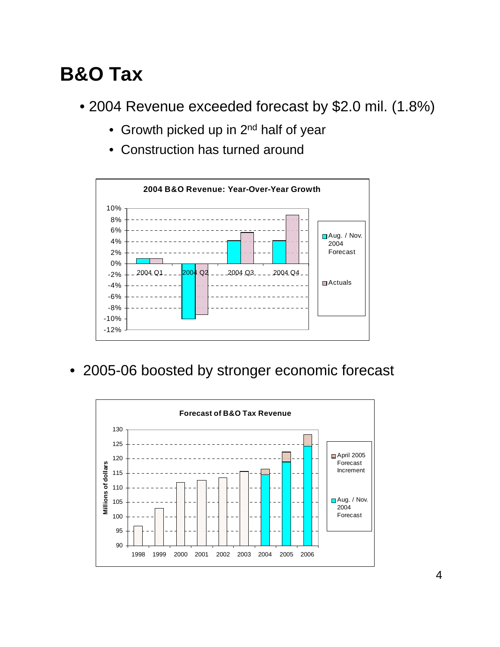### **B&O Tax**

- 2004 Revenue exceeded forecast by \$2.0 mil. (1.8%)
	- Growth picked up in 2<sup>nd</sup> half of year
	- Construction has turned around



• 2005-06 boosted by stronger economic forecast

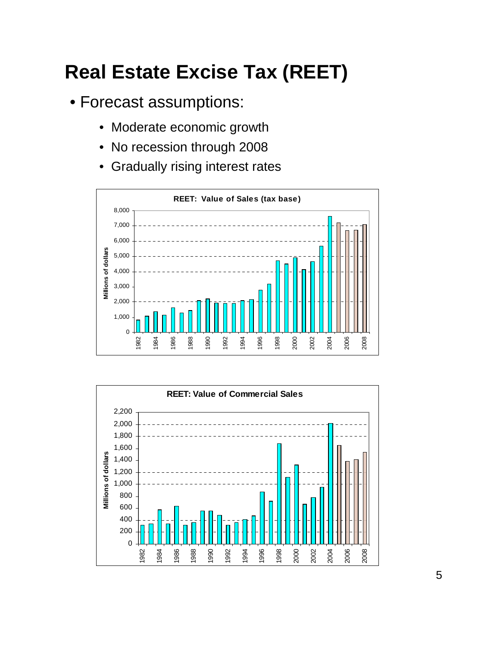# **Real Estate Excise Tax (REET)**

- Forecast assumptions:
	- Moderate economic growth
	- No recession through 2008
	- Gradually rising interest rates



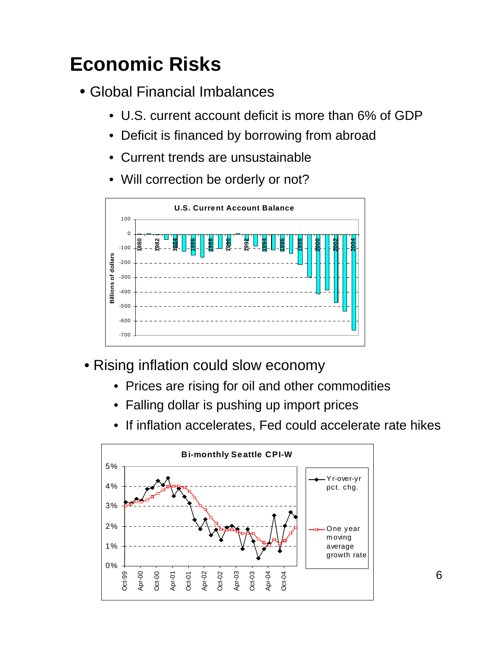# **Economic Risks**

- Global Financial Imbalances
	- U.S. current account deficit is more than 6% of GDP
	- Deficit is financed by borrowing from abroad
	- Current trends are unsustainable
	- Will correction be orderly or not?



- Rising inflation could slow economy
	- Prices are rising for oil and other commodities
	- Falling dollar is pushing up import prices
	- If inflation accelerates, Fed could accelerate rate hikes

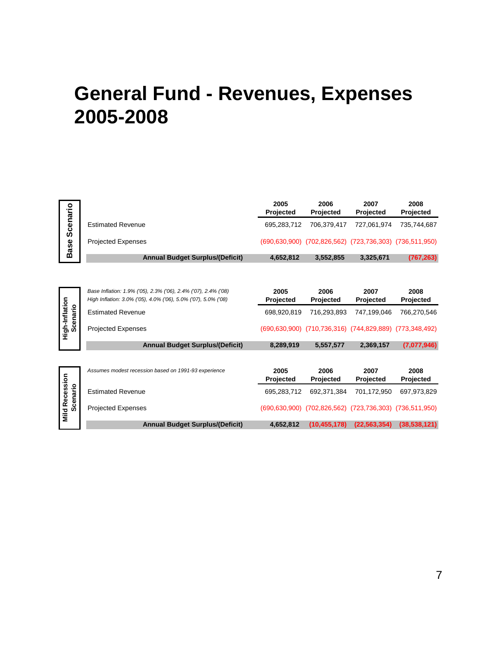#### **General Fund - Revenues, Expenses 2005-2008**

|                                          |                                                                                                                                  | 2005<br>Projected | 2006<br>Projected                         | 2007<br>Projected | 2008<br>Projected        |  |
|------------------------------------------|----------------------------------------------------------------------------------------------------------------------------------|-------------------|-------------------------------------------|-------------------|--------------------------|--|
| Scenario                                 | <b>Estimated Revenue</b>                                                                                                         | 695,283,712       | 706,379,417                               | 727,061,974       | 735,744,687              |  |
| <b>Base</b>                              | <b>Projected Expenses</b>                                                                                                        |                   | (690,630,900) (702,826,562) (723,736,303) |                   | (736, 511, 950)          |  |
|                                          | <b>Annual Budget Surplus/(Deficit)</b>                                                                                           | 4,652,812         | 3,552,855                                 | 3,325,671         | (767, 263)               |  |
|                                          |                                                                                                                                  |                   |                                           |                   |                          |  |
| High-Inflation<br>Scenario               | Base Inflation: 1.9% ('05), 2.3% ('06), 2.4% ('07), 2.4% ('08)<br>High Inflation: 3.0% ('05), 4.0% ('06), 5.0% ('07), 5.0% ('08) | 2005<br>Projected | 2006<br>Projected                         | 2007<br>Projected | 2008<br>Projected        |  |
|                                          | <b>Estimated Revenue</b>                                                                                                         | 698,920,819       | 716,293,893                               | 747.199.046       | 766.270.546              |  |
|                                          | <b>Projected Expenses</b>                                                                                                        |                   | (690,630,900) (710,736,316) (744,829,889) |                   | (773, 348, 492)          |  |
|                                          | <b>Annual Budget Surplus/(Deficit)</b>                                                                                           | 8,289,919         | 5,557,577                                 | 2,369,157         | (7,077,946)              |  |
|                                          |                                                                                                                                  |                   |                                           |                   |                          |  |
|                                          | Assumes modest recession based on 1991-93 experience                                                                             | 2005<br>Projected | 2006<br>Projected                         | 2007<br>Projected | 2008<br><b>Projected</b> |  |
| <b>Mild Recession</b><br><b>Scenario</b> | <b>Estimated Revenue</b>                                                                                                         | 695,283,712       | 692,371,384                               | 701,172,950       | 697,973,829              |  |
|                                          | <b>Projected Expenses</b>                                                                                                        | (690, 630, 900)   | (702, 826, 562)                           | (723, 736, 303)   | (736, 511, 950)          |  |
|                                          | <b>Annual Budget Surplus/(Deficit)</b>                                                                                           | 4,652,812         | (10, 455, 178)                            | (22, 563, 354)    | (38, 538, 121)           |  |